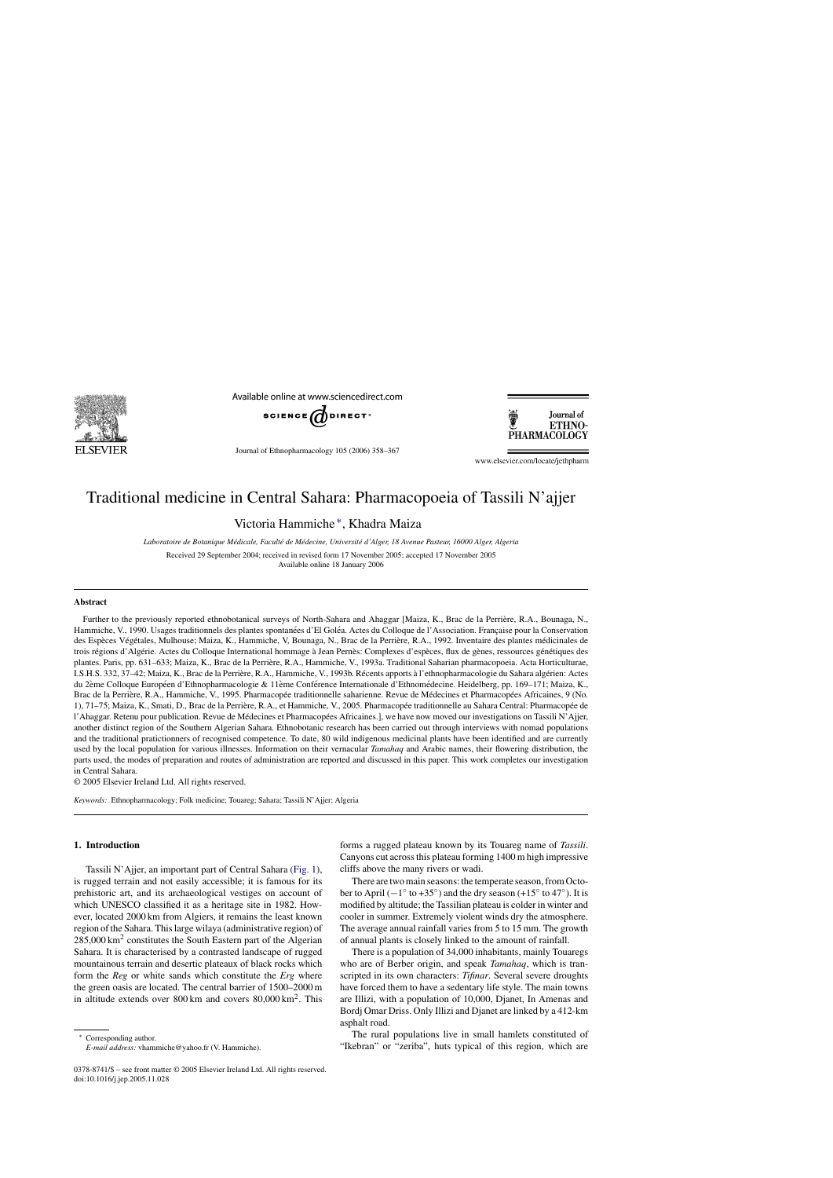

Available online at www.sciencedirect.com



Journal of Ethnopharmacology 105 (2006) 358–367

Journal of **ETHNO-**PHARMACOLOGY

www.elsevier.com/locate/jethpharm

# Traditional medicine in Central Sahara: Pharmacopoeia of Tassili N'ajjer

Victoria Hammiche ∗, Khadra Maiza

*Laboratoire de Botanique M´edicale, Facult´e de M´edecine, Universit´e d'Alger, 18 Avenue Pasteur, 16000 Alger, Algeria*

Received 29 September 2004; received in revised form 17 November 2005; accepted 17 November 2005 Available online 18 January 2006

#### **Abstract**

Further to the previously reported ethnobotanical surveys of North-Sahara and Ahaggar [Maiza, K., Brac de la Perriere, R.A., Bounaga, N., ` Hammiche, V., 1990. Usages traditionnels des plantes spontanées d'El Goléa. Actes du Colloque de l'Association. Française pour la Conservation des Espèces Végétales, Mulhouse; Maiza, K., Hammiche, V. Bounaga, N., Brac de la Perrière, R.A., 1992. Inventaire des plantes médicinales de trois régions d'Algérie. Actes du Colloque International hommage à Jean Pernès: Complexes d'espèces, flux de gènes, ressources génétiques des plantes. Paris, pp. 631–633; Maiza, K., Brac de la Perriere, R.A., Hammiche, V., 1993a. Traditional Saharian pharmacopoeia. Acta Horticulturae, ` I.S.H.S. 332, 37-42; Maiza, K., Brac de la Perrière, R.A., Hammiche, V., 1993b. Récents apports à l'ethnopharmacologie du Sahara algérien: Actes du 2ème Colloque Européen d'Ethnopharmacologie & 11ème Conférence Internationale d'Ethnomédecine. Heidelberg, pp. 169–171; Maiza, K., Brac de la Perrière, R.A., Hammiche, V., 1995. Pharmacopée traditionnelle saharienne. Revue de Médecines et Pharmacopées Africaines, 9 (No. 1), 71–75; Maiza, K., Smati, D., Brac de la Perrière, R.A., et Hammiche, V., 2005. Pharmacopée traditionnelle au Sahara Central: Pharmacopée de l'Ahaggar. Retenu pour publication. Revue de Médecines et Pharmacopées Africaines.], we have now moved our investigations on Tassili N'Ajjer, another distinct region of the Southern Algerian Sahara. Ethnobotanic research has been carried out through interviews with nomad populations and the traditional pratictionners of recognised competence. To date, 80 wild indigenous medicinal plants have been identified and are currently used by the local population for various illnesses. Information on their vernacular *Tamahaq* and Arabic names, their flowering distribution, the parts used, the modes of preparation and routes of administration are reported and discussed in this paper. This work completes our investigation in Central Sahara.

© 2005 Elsevier Ireland Ltd. All rights reserved.

*Keywords:* Ethnopharmacology; Folk medicine; Touareg; Sahara; Tassili N'Ajjer; Algeria

### **1. Introduction**

Tassili N'Ajjer, an important part of Central Sahara ([Fig. 1\),](#page-1-0) is rugged terrain and not easily accessible; it is famous for its prehistoric art, and its archaeological vestiges on account of which UNESCO classified it as a heritage site in 1982. However, located 2000 km from Algiers, it remains the least known region of the Sahara. This large wilaya (administrative region) of 285,000 km<sup>2</sup> constitutes the South Eastern part of the Algerian Sahara. It is characterised by a contrasted landscape of rugged mountainous terrain and desertic plateaux of black rocks which form the *Reg* or white sands which constitute the *Erg* where the green oasis are located. The central barrier of 1500–2000 m in altitude extends over 800 km and covers 80,000 km2. This

Corresponding author. *E-mail address:* vhammiche@yahoo.fr (V. Hammiche). forms a rugged plateau known by its Touareg name of *Tassili*. Canyons cut across this plateau forming 1400 m high impressive cliffs above the many rivers or wadi.

There are two main seasons: the temperate season, from October to April ( $-1^\circ$  to +35°) and the dry season (+15° to 47°). It is modified by altitude; the Tassilian plateau is colder in winter and cooler in summer. Extremely violent winds dry the atmosphere. The average annual rainfall varies from 5 to 15 mm. The growth of annual plants is closely linked to the amount of rainfall.

There is a population of 34,000 inhabitants, mainly Touaregs who are of Berber origin, and speak *Tamahaq*, which is transcripted in its own characters: *Tifinar*. Several severe droughts have forced them to have a sedentary life style. The main towns are Illizi, with a population of 10,000, Djanet, In Amenas and Bordj Omar Driss. Only Illizi and Djanet are linked by a 412-km asphalt road.

The rural populations live in small hamlets constituted of "Ikebran" or "zeriba", huts typical of this region, which are

<sup>0378-8741/\$ –</sup> see front matter © 2005 Elsevier Ireland Ltd. All rights reserved. doi:10.1016/j.jep.2005.11.028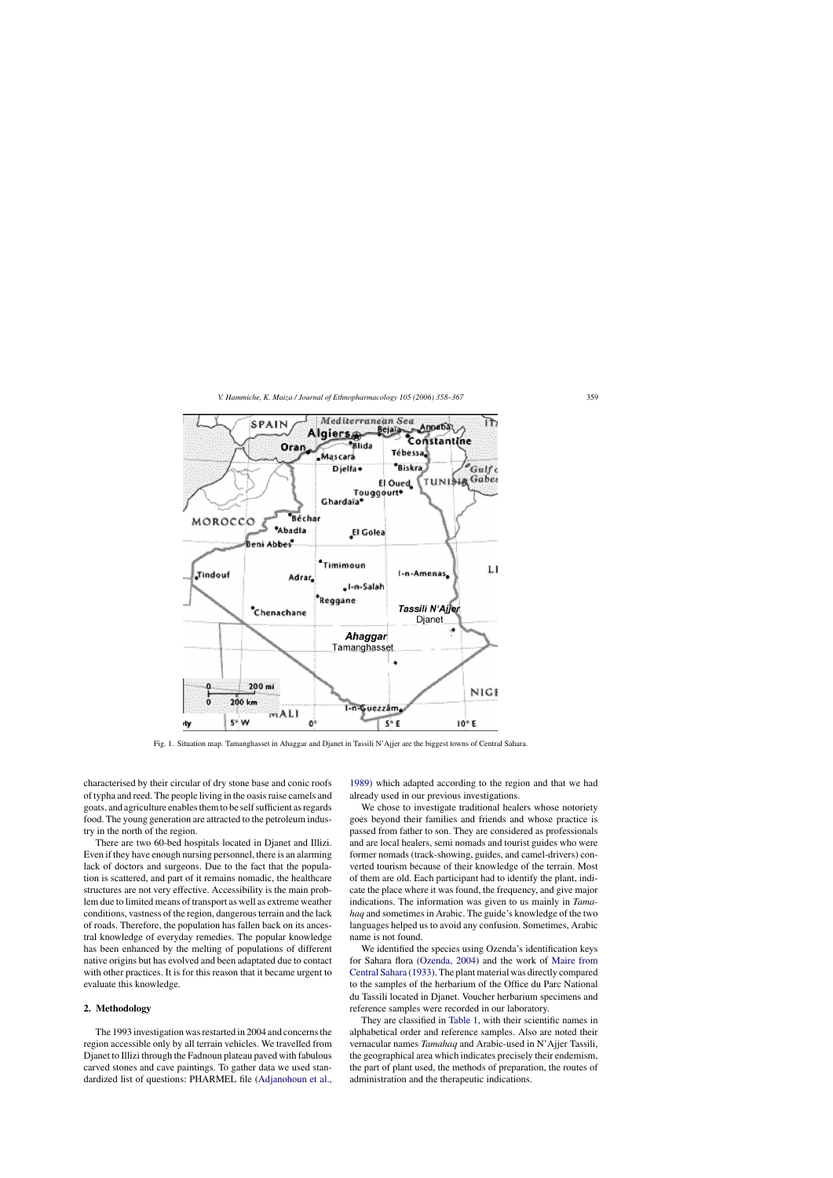<span id="page-1-0"></span>

Fig. 1. Situation map. Tamanghasset in Ahaggar and Djanet in Tassili N'Ajjer are the biggest towns of Central Sahara.

characterised by their circular of dry stone base and conic roofs of typha and reed. The people living in the oasis raise camels and goats, and agriculture enables them to be self sufficient as regards food. The young generation are attracted to the petroleum industry in the north of the region.

There are two 60-bed hospitals located in Djanet and Illizi. Even if they have enough nursing personnel, there is an alarming lack of doctors and surgeons. Due to the fact that the population is scattered, and part of it remains nomadic, the healthcare structures are not very effective. Accessibility is the main problem due to limited means of transport as well as extreme weather conditions, vastness of the region, dangerous terrain and the lack of roads. Therefore, the population has fallen back on its ancestral knowledge of everyday remedies. The popular knowledge has been enhanced by the melting of populations of different native origins but has evolved and been adaptated due to contact with other practices. It is for this reason that it became urgent to evaluate this knowledge.

#### **2. Methodology**

The 1993 investigation was restarted in 2004 and concerns the region accessible only by all terrain vehicles. We travelled from Djanet to Illizi through the Fadnoun plateau paved with fabulous carved stones and cave paintings. To gather data we used standardized list of questions: PHARMEL file [\(Adjanohoun et al.,](#page-9-0)

[1989\)](#page-9-0) which adapted according to the region and that we had already used in our previous investigations.

We chose to investigate traditional healers whose notoriety goes beyond their families and friends and whose practice is passed from father to son. They are considered as professionals and are local healers, semi nomads and tourist guides who were former nomads (track-showing, guides, and camel-drivers) converted tourism because of their knowledge of the terrain. Most of them are old. Each participant had to identify the plant, indicate the place where it was found, the frequency, and give major indications. The information was given to us mainly in *Tamahaq* and sometimes in Arabic. The guide's knowledge of the two languages helped us to avoid any confusion. Sometimes, Arabic name is not found.

We identified the species using Ozenda's identification keys for Sahara flora ([Ozenda, 2004\)](#page-9-0) and the work of [Maire from](#page-9-0) [Central Sahara \(1933\). T](#page-9-0)he plant material was directly compared to the samples of the herbarium of the Office du Parc National du Tassili located in Djanet. Voucher herbarium specimens and reference samples were recorded in our laboratory.

They are classified in [Table 1,](#page-2-0) with their scientific names in alphabetical order and reference samples. Also are noted their vernacular names *Tamahaq* and Arabic-used in N'Ajjer Tassili, the geographical area which indicates precisely their endemism, the part of plant used, the methods of preparation, the routes of administration and the therapeutic indications.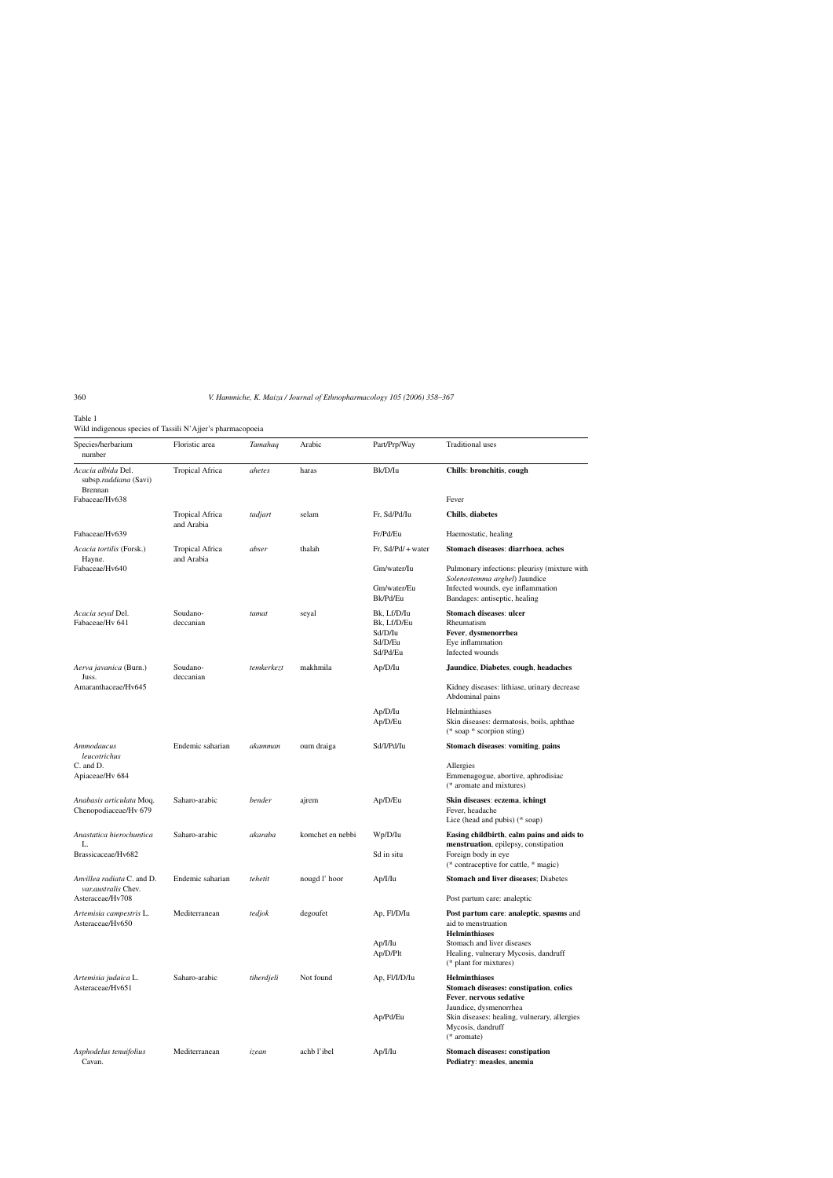# <span id="page-2-0"></span>Table 1

Wild indigenous species of Tassili N'Ajjer's pharmacopoeia

| Species/herbarium<br>number                                                             | Floristic area                       | Tamahaq    | Arabic           | Part/Prp/Way                                                 | Traditional uses                                                                                                    |
|-----------------------------------------------------------------------------------------|--------------------------------------|------------|------------------|--------------------------------------------------------------|---------------------------------------------------------------------------------------------------------------------|
| Acacia albida Del.<br>subsp. <i>raddiana</i> (Savi)<br><b>Brennan</b><br>Fabaceae/Hv638 | <b>Tropical Africa</b>               | ahetes     | haras            | Bk/D/Iu                                                      | Chills: bronchitis, cough<br>Fever                                                                                  |
|                                                                                         | Tropical Africa                      | tadjart    | selam            | Fr, Sd/Pd/Iu                                                 | Chills, diabetes                                                                                                    |
| Fabaceae/Hv639                                                                          | and Arabia                           |            |                  | Fr/Pd/Eu                                                     | Haemostatic, healing                                                                                                |
| Acacia tortilis (Forsk.)<br>Hayne.                                                      | <b>Tropical Africa</b><br>and Arabia | abser      | thalah           | Fr, $Sd/Pd$ + water                                          | Stomach diseases: diarrhoea, aches                                                                                  |
| Fabaceae/Hv640                                                                          |                                      |            |                  | Gm/water/Iu                                                  | Pulmonary infections: pleurisy (mixture with<br>Solenostemma arghel) Jaundice                                       |
|                                                                                         |                                      |            |                  | Gm/water/Eu<br>Bk/Pd/Eu                                      | Infected wounds, eye inflammation<br>Bandages: antiseptic, healing                                                  |
| Acacia seyal Del.<br>Fabaceae/Hy 641                                                    | Soudano-<br>deccanian                | tamat      | seyal            | Bk, Lf/D/Iu<br>Bk, Lf/D/Eu<br>Sd/D/Iu<br>Sd/D/Eu<br>Sd/Pd/Eu | Stomach diseases: ulcer<br>Rheumatism<br>Fever, dysmenorrhea<br>Eye inflammation<br>Infected wounds                 |
| Aerva javanica (Burn.)                                                                  | Soudano-<br>deccanian                | temkerkezt | makhmila         | Ap/D/Iu                                                      | Jaundice, Diabetes, cough, headaches                                                                                |
| Juss.<br>Amaranthaceae/Hv645                                                            |                                      |            |                  |                                                              | Kidney diseases: lithiase, urinary decrease<br>Abdominal pains                                                      |
|                                                                                         |                                      |            |                  | Ap/D/Iu<br>Ap/D/Eu                                           | Helminthiases<br>Skin diseases: dermatosis, boils, aphthae<br>( $*$ soap $*$ scorpion sting)                        |
| Ammodaucus<br>leucotrichus<br>C. and D.<br>Apiaceae/Hv 684                              | Endemic saharian                     | akamman    | oum draiga       | Sd/I/Pd/Iu                                                   | Stomach diseases: vomiting, pains<br>Allergies<br>Emmenagogue, abortive, aphrodisiac<br>(* aromate and mixtures)    |
| Anabasis articulata Moq.<br>Chenopodiaceae/Hv 679                                       | Saharo-arabic                        | bender     | ajrem            | Ap/D/Eu                                                      | Skin diseases: eczema, ichingt<br>Fever, headache<br>Lice (head and pubis) $(*$ soap)                               |
| Anastatica hierochuntica<br>L.                                                          | Saharo-arabic                        | akaraba    | komchet en nebbi | Wp/D/Iu                                                      | Easing childbirth, calm pains and aids to<br>menstruation, epilepsy, constipation                                   |
| Brassicaceae/Hv682                                                                      |                                      |            |                  | Sd in situ                                                   | Foreign body in eye<br>(* contraceptive for cattle, * magic)                                                        |
| Anvillea radiata C. and D.<br>var.australis Chev.                                       | Endemic saharian                     | tehetit    | nougd l'hoor     | Ap/I/Iu                                                      | Stomach and liver diseases; Diabetes                                                                                |
| Asteraceae/Hv708                                                                        |                                      |            |                  |                                                              | Post partum care: analeptic                                                                                         |
| Artemisia campestris L.<br>Asteraceae/Hv650                                             | Mediterranean                        | tedjok     | degoufet         | Ap, Fl/D/Iu                                                  | Post partum care: analeptic, spasms and<br>aid to menstruation<br><b>Helminthiases</b>                              |
|                                                                                         |                                      |            |                  | Ap/I/Iu<br>Ap/D/Plt                                          | Stomach and liver diseases<br>Healing, vulnerary Mycosis, dandruff<br>(* plant for mixtures)                        |
| Artemisia judaica L.<br>Asteraceae/Hv651                                                | Saharo-arabic                        | tiherdjeli | Not found        | Ap, Fl/I/D/Iu                                                | <b>Helminthiases</b><br>Stomach diseases: constipation, colics<br>Fever, nervous sedative<br>Jaundice, dysmenorrhea |
|                                                                                         |                                      |            |                  | Ap/Pd/Eu                                                     | Skin diseases: healing, vulnerary, allergies<br>Mycosis, dandruff<br>(* aromate)                                    |
| Asphodelus tenuifolius<br>Cavan.                                                        | Mediterranean                        | izean      | achb l'ibel      | Ap/I/Iu                                                      | <b>Stomach diseases: constipation</b><br>Pediatry: measles, anemia                                                  |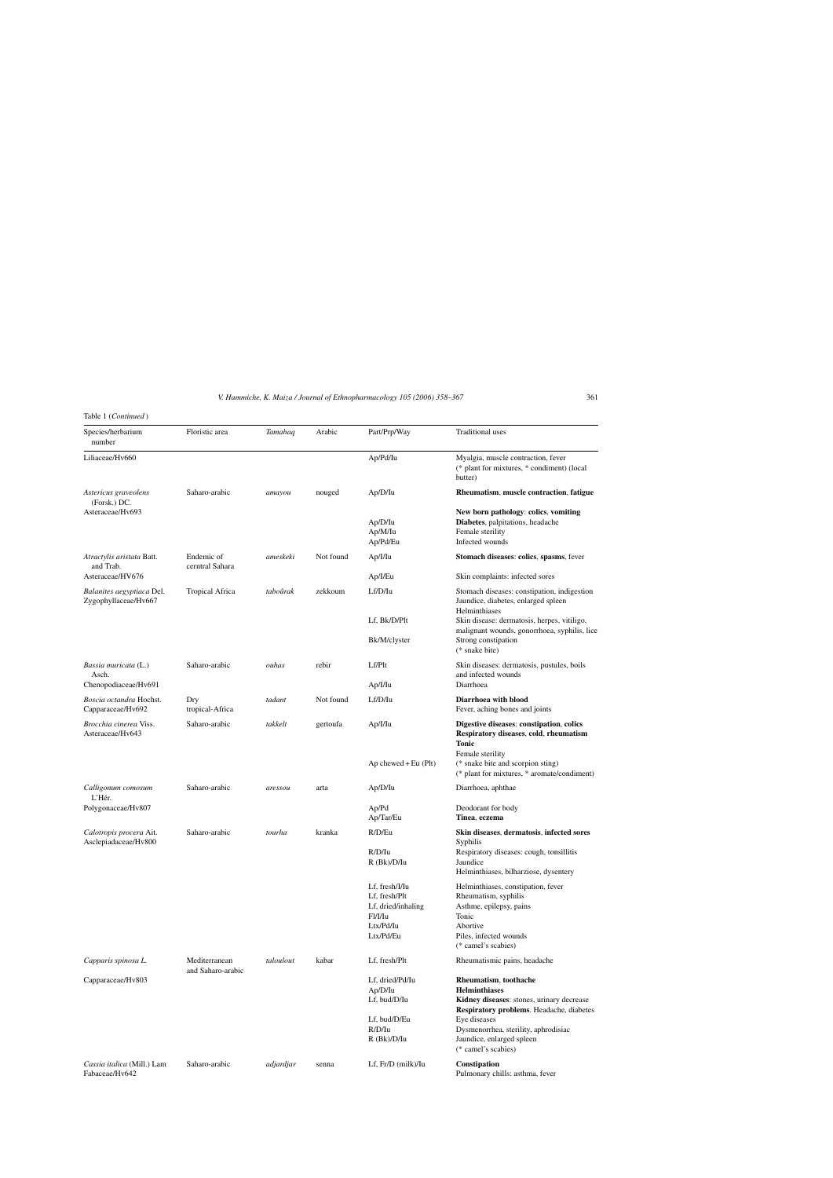| Species/herbarium<br>number                       | Floristic area                     | Tamahaq   | Arabic    | Part/Prp/Way                                                                               | <b>Traditional uses</b>                                                                                                                                     |
|---------------------------------------------------|------------------------------------|-----------|-----------|--------------------------------------------------------------------------------------------|-------------------------------------------------------------------------------------------------------------------------------------------------------------|
| Liliaceae/Hv660                                   |                                    |           |           | Ap/Pd/Iu                                                                                   | Myalgia, muscle contraction, fever<br>(* plant for mixtures, * condiment) (local<br>butter)                                                                 |
| Astericus graveolens<br>(Forsk.) DC.              | Saharo-arabic                      | amayou    | nouged    | Ap/D/Iu                                                                                    | Rheumatism, muscle contraction, fatigue                                                                                                                     |
| Asteraceae/Hv693                                  |                                    |           |           | Ap/D/Iu<br>Ap/M/Iu<br>Ap/Pd/Eu                                                             | New born pathology: colics, vomiting<br>Diabetes, palpitations, headache<br>Female sterility<br>Infected wounds                                             |
| Atractylis aristata Batt.<br>and Trab.            | Endemic of<br>cerntral Sahara      | ameskeki  | Not found | Ap/I/Iu                                                                                    | <b>Stomach diseases: colics, spasms, fever</b>                                                                                                              |
| Asteraceae/HV676                                  |                                    |           |           | Ap/I/Eu                                                                                    | Skin complaints: infected sores                                                                                                                             |
| Balanites aegyptiaca Del.<br>Zygophyllaceae/Hv667 | Tropical Africa                    | taboûrak  | zekkoum   | Lf/D/Iu                                                                                    | Stomach diseases: constipation, indigestion<br>Jaundice, diabetes, enlarged spleen<br>Helminthiases                                                         |
|                                                   |                                    |           |           | Lf, Bk/D/Plt                                                                               | Skin disease: dermatosis, herpes, vitiligo,<br>malignant wounds, gonorrhoea, syphilis, lice                                                                 |
|                                                   |                                    |           |           | Bk/M/clyster                                                                               | Strong constipation<br>(* snake bite)                                                                                                                       |
| Bassia muricata (L.)<br>Asch.                     | Saharo-arabic                      | ouhas     | rebir     | Lf/Plt                                                                                     | Skin diseases: dermatosis, pustules, boils<br>and infected wounds                                                                                           |
| Chenopodiaceae/Hv691                              |                                    |           |           | Ap/I/Iu                                                                                    | Diarrhoea                                                                                                                                                   |
| Boscia octandra Hochst.<br>Capparaceae/Hv692      | Dry<br>tropical-Africa             | tadant    | Not found | Lf/D/Iu                                                                                    | Diarrhoea with blood<br>Fever, aching bones and joints                                                                                                      |
| <i>Brocchia cinerea</i> Viss.<br>Asteraceae/Hv643 | Saharo-arabic                      | takkelt   | gertoufa  | Ap/I/Iu                                                                                    | Digestive diseases: constipation, colics<br>Respiratory diseases, cold, rheumatism<br><b>Tonic</b><br>Female sterility                                      |
|                                                   |                                    |           |           | $Ap$ chewed + Eu (Plt)                                                                     | (* snake bite and scorpion sting)<br>(* plant for mixtures, * aromate/condiment)                                                                            |
| Calligonum comosum<br>L'Hér.                      | Saharo-arabic                      | aressou   | arta      | Ap/D/Iu                                                                                    | Diarrhoea, aphthae                                                                                                                                          |
| Polygonaceae/Hv807                                |                                    |           |           | Ap/Pd<br>Ap/Tar/Eu                                                                         | Deodorant for body<br>Tinea, eczema                                                                                                                         |
| Calotropis procera Ait.<br>Asclepiadaceae/Hv800   | Saharo-arabic                      | tourha    | kranka    | R/D/Eu                                                                                     | Skin diseases, dermatosis, infected sores<br>Syphilis                                                                                                       |
|                                                   |                                    |           |           | R/D/Iu<br>R (Bk)/D/Iu                                                                      | Respiratory diseases: cough, tonsillitis<br>Jaundice<br>Helminthiases, bilharziose, dysentery                                                               |
|                                                   |                                    |           |           | Lf, fresh/I/Iu<br>Lf, fresh/Plt<br>Lf, dried/inhaling<br>Fl/I/Iu<br>Ltx/Pd/Iu<br>Ltx/Pd/Eu | Helminthiases, constipation, fever<br>Rheumatism, syphilis<br>Asthme, epilepsy, pains<br>Tonic<br>Abortive<br>Piles, infected wounds<br>(* camel's scabies) |
| Capparis spinosa L.                               | Mediterranean<br>and Saharo-arabic | taloulout | kabar     | Lf, fresh/Plt                                                                              | Rheumatismic pains, headache                                                                                                                                |
| Capparaceae/Hv803                                 |                                    |           |           | Lf, dried/Pd/Iu<br>Ap/D/Iu<br>Lf, bud/D/Iu                                                 | Rheumatism, toothache<br><b>Helminthiases</b><br>Kidney diseases: stones, urinary decrease<br>Respiratory problems. Headache, diabetes                      |
|                                                   |                                    |           |           | Lf, bud/D/Eu<br>R/D/Iu<br>$R$ (Bk)/D/Iu                                                    | Eye diseases<br>Dysmenorrhea, sterility, aphrodisiac<br>Jaundice, enlarged spleen<br>(* camel's scabies)                                                    |
| Cassia italica (Mill.) Lam<br>Fabaceae/Hv642      | Saharo-arabic                      | adjardjar | senna     | Lf, $Fr/D$ (milk)/Iu                                                                       | Constipation<br>Pulmonary chills: asthma, fever                                                                                                             |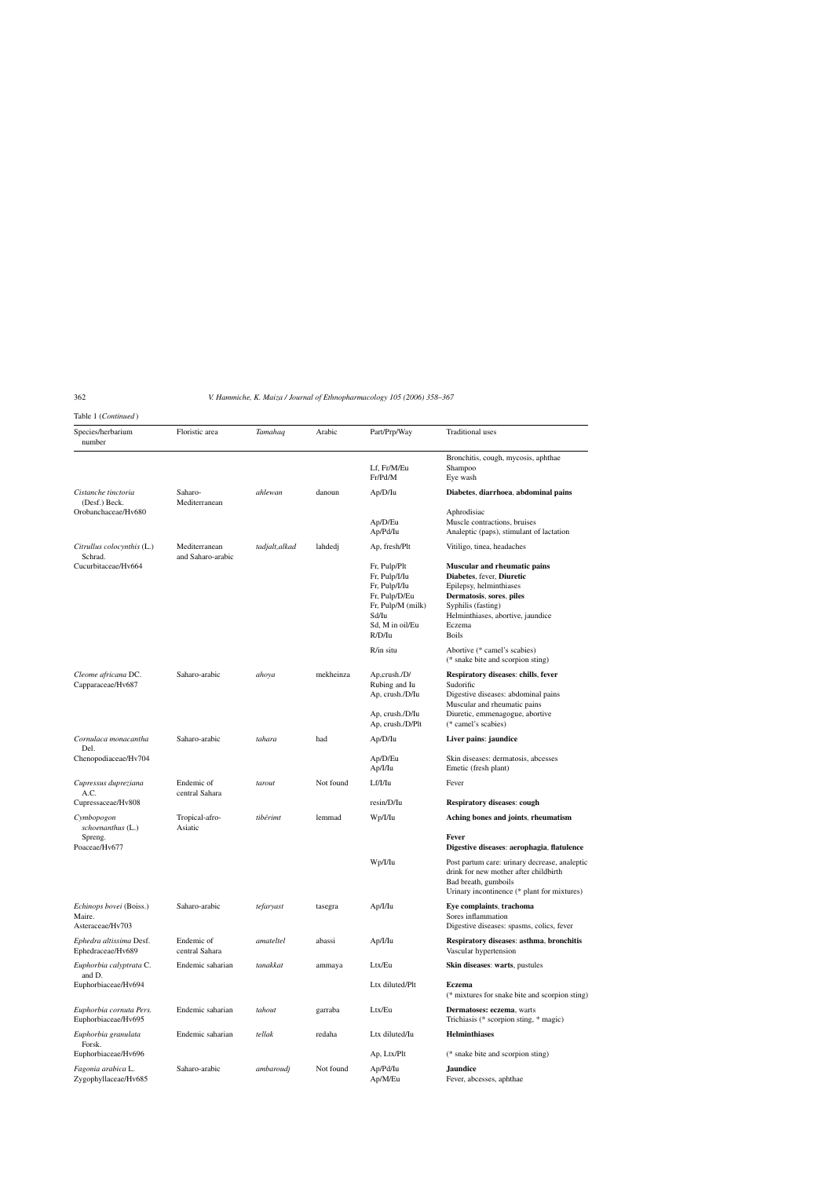| Species/herbarium<br>number                                  | Floristic area                     | Tamahaq        | Arabic    | Part/Prp/Way                                                                                                               | <b>Traditional uses</b>                                                                                                                                                                                      |
|--------------------------------------------------------------|------------------------------------|----------------|-----------|----------------------------------------------------------------------------------------------------------------------------|--------------------------------------------------------------------------------------------------------------------------------------------------------------------------------------------------------------|
|                                                              |                                    |                |           | Lf, Fr/M/Eu<br>Fr/Pd/M                                                                                                     | Bronchitis, cough, mycosis, aphthae<br>Shampoo<br>Eye wash                                                                                                                                                   |
| Cistanche tinctoria<br>(Desf.) Beck.                         | Saharo-<br>Mediterranean           | ahlewan        | danoun    | Ap/D/Iu                                                                                                                    | Diabetes, diarrhoea, abdominal pains                                                                                                                                                                         |
| Orobanchaceae/Hv680                                          |                                    |                |           | Ap/D/Eu<br>Ap/Pd/Iu                                                                                                        | Aphrodisiac<br>Muscle contractions, bruises<br>Analeptic (paps), stimulant of lactation                                                                                                                      |
| Citrullus colocynthis (L.)<br>Schrad.                        | Mediterranean<br>and Saharo-arabic | tadjalt, alkad | lahdedj   | Ap, fresh/Plt                                                                                                              | Vitiligo, tinea, headaches                                                                                                                                                                                   |
| Cucurbitaceae/Hv664                                          |                                    |                |           | Fr, Pulp/Plt<br>Fr, Pulp/I/Iu<br>Fr, Pulp/I/Iu<br>Fr, Pulp/D/Eu<br>Fr, Pulp/M (milk)<br>Sd/Iu<br>Sd, M in oil/Eu<br>R/D/Iu | <b>Muscular and rheumatic pains</b><br>Diabetes, fever, Diuretic<br>Epilepsy, helminthiases<br>Dermatosis, sores, piles<br>Syphilis (fasting)<br>Helminthiases, abortive, jaundice<br>Eczema<br><b>Boils</b> |
|                                                              |                                    |                |           | $R/in$ situ                                                                                                                | Abortive (* camel's scabies)<br>(* snake bite and scorpion sting)                                                                                                                                            |
| Cleome africana DC.<br>Capparaceae/Hv687                     | Saharo-arabic                      | ahoya          | mekheinza | Ap, crush./D/<br>Rubing and Iu<br>Ap, crush./D/Iu                                                                          | Respiratory diseases: chills, fever<br>Sudorific<br>Digestive diseases: abdominal pains                                                                                                                      |
|                                                              |                                    |                |           | Ap, crush./D/Iu<br>Ap, crush./D/Plt                                                                                        | Muscular and rheumatic pains<br>Diuretic, emmenagogue, abortive<br>(* camel's scabies)                                                                                                                       |
| Cornulaca monacantha<br>Del.                                 | Saharo-arabic                      | tahara         | had       | Ap/D/Iu                                                                                                                    | Liver pains: jaundice                                                                                                                                                                                        |
| Chenopodiaceae/Hv704                                         |                                    |                |           | Ap/D/Eu<br>Ap/I/Iu                                                                                                         | Skin diseases: dermatosis, abcesses<br>Emetic (fresh plant)                                                                                                                                                  |
| Cupressus dupreziana<br>A.C.                                 | Endemic of<br>central Sahara       | tarout         | Not found | Lf/I/Iu                                                                                                                    | Fever                                                                                                                                                                                                        |
| Cupressaceae/Hv808                                           |                                    |                |           | resin/D/Iu                                                                                                                 | <b>Respiratory diseases: cough</b>                                                                                                                                                                           |
| Cymbopogon<br>schoenanthus (L.)                              | Tropical-afro-<br>Asiatic          | tibérimt       | lemmad    | Wp/I/Iu                                                                                                                    | Aching bones and joints, rheumatism<br>Fever                                                                                                                                                                 |
| Spreng.<br>Poaceae/Hv677                                     |                                    |                |           |                                                                                                                            | Digestive diseases: aerophagia, flatulence                                                                                                                                                                   |
|                                                              |                                    |                |           | Wp/I/Iu                                                                                                                    | Post partum care: urinary decrease, analeptic<br>drink for new mother after childbirth<br>Bad breath, gumboils<br>Urinary incontinence (* plant for mixtures)                                                |
| <i>Echinops bovei</i> (Boiss.)<br>Maire.<br>Asteraceae/Hv703 | Saharo-arabic                      | tefaryast      | tasegra   | Ap/I/Iu                                                                                                                    | Eye complaints, trachoma<br>Sores inflammation<br>Digestive diseases: spasms, colics, fever                                                                                                                  |
| Ephedra altissima Desf.<br>Ephedraceae/Hv689                 | Endemic of<br>central Sahara       | amateltel      | abassi    | Ap/I/Iu                                                                                                                    | Respiratory diseases: asthma, bronchitis<br>Vascular hypertension                                                                                                                                            |
| Euphorbia calyptrata C.                                      | Endemic saharian                   | tanakkat       | ammaya    | Ltx/Eu                                                                                                                     | <b>Skin diseases: warts, pustules</b>                                                                                                                                                                        |
| and D.<br>Euphorbiaceae/Hv694                                |                                    |                |           | Ltx diluted/Plt                                                                                                            | Eczema<br>(* mixtures for snake bite and scorpion sting)                                                                                                                                                     |
| Euphorbia cornuta Pers.<br>Euphorbiaceae/Hv695               | Endemic saharian                   | tahout         | garraba   | Ltx/Eu                                                                                                                     | Dermatoses: eczema, warts<br>Trichiasis (* scorpion sting, * magic)                                                                                                                                          |
| Euphorbia granulata<br>Forsk.                                | Endemic saharian                   | tellak         | redaha    | Ltx diluted/Iu                                                                                                             | <b>Helminthiases</b>                                                                                                                                                                                         |
| Euphorbiaceae/Hv696                                          |                                    |                |           | Ap, Ltx/Plt                                                                                                                | (* snake bite and scorpion sting)                                                                                                                                                                            |
| Fagonia arabica L.<br>Zygophyllaceae/Hv685                   | Saharo-arabic                      | ambaroudj      | Not found | Ap/Pd/Iu<br>Ap/M/Eu                                                                                                        | <b>Jaundice</b><br>Fever, abcesses, aphthae                                                                                                                                                                  |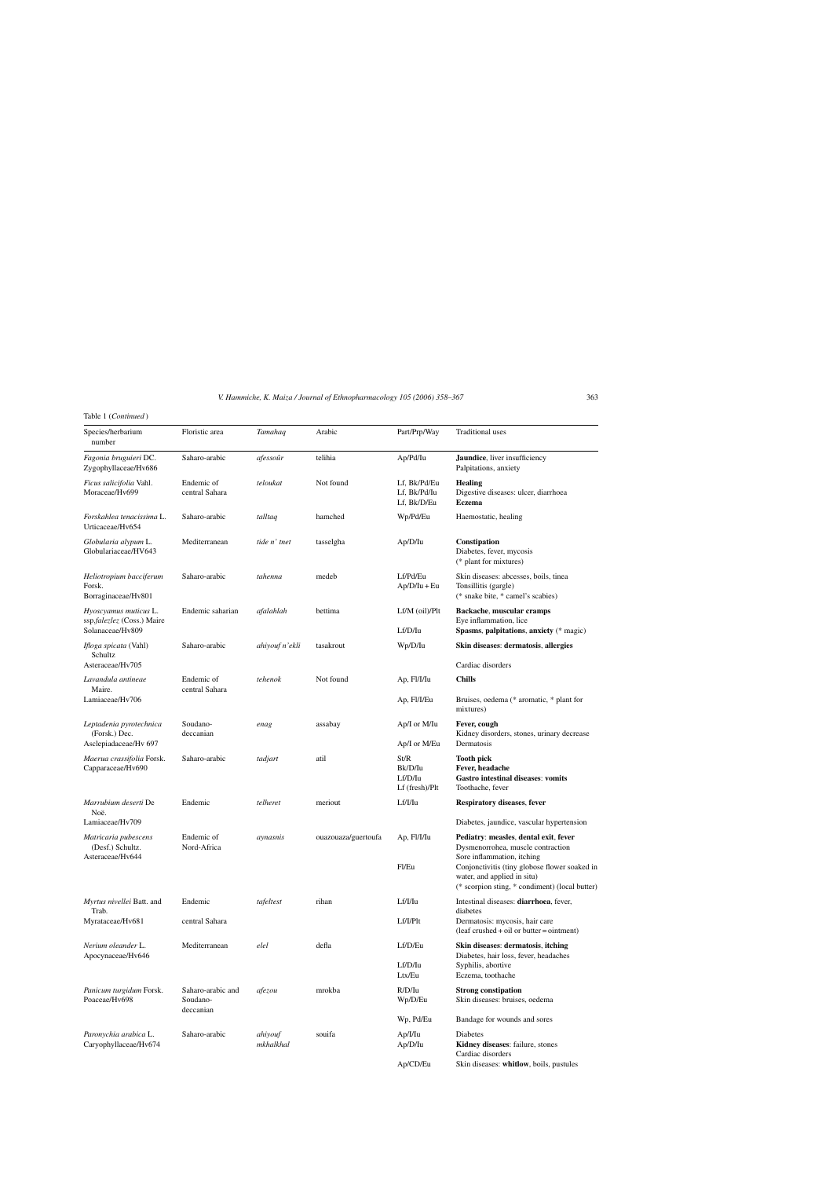| Species/herbarium<br>number                                       | Floristic area                             | Tamahaq              | Arabic              | Part/Prp/Way                                      | <b>Traditional</b> uses                                                                                                                                                                                                                    |
|-------------------------------------------------------------------|--------------------------------------------|----------------------|---------------------|---------------------------------------------------|--------------------------------------------------------------------------------------------------------------------------------------------------------------------------------------------------------------------------------------------|
| Fagonia bruguieri DC.<br>Zygophyllaceae/Hv686                     | Saharo-arabic                              | afessoûr             | telihia             | Ap/Pd/Iu                                          | Jaundice, liver insufficiency<br>Palpitations, anxiety                                                                                                                                                                                     |
| <i>Ficus salicifolia</i> Vahl.<br>Moraceae/Hv699                  | Endemic of<br>central Sahara               | teloukat             | Not found           | Lf, Bk/Pd/Eu<br>Lf, Bk/Pd/Iu<br>Lf, Bk/D/Eu       | <b>Healing</b><br>Digestive diseases: ulcer, diarrhoea<br><b>Eczema</b>                                                                                                                                                                    |
| Forskahlea tenacissima L.<br>Urticaceae/Hv654                     | Saharo-arabic                              | talltaq              | hamched             | Wp/Pd/Eu                                          | Haemostatic, healing                                                                                                                                                                                                                       |
| Globularia alypum L.<br>Globulariaceae/HV643                      | Mediterranean                              | tide n' tnet         | tasselgha           | Ap/D/Iu                                           | Constipation<br>Diabetes, fever, mycosis<br>(* plant for mixtures)                                                                                                                                                                         |
| Heliotropium bacciferum<br>Forsk.<br>Borraginaceae/Hv801          | Saharo-arabic                              | tahenna              | medeb               | Lf/Pd/Eu<br>$Ap/D/Iu + Eu$                        | Skin diseases: abcesses, boils, tinea<br>Tonsillitis (gargle)<br>(* snake bite, * camel's scabies)                                                                                                                                         |
| Hyoscyamus muticus L.<br>ssp. <i>falezlez</i> (Coss.) Maire       | Endemic saharian                           | afalahlah            | bettima             | $Lf/M$ (oil)/ $Plt$                               | Backache, muscular cramps<br>Eye inflammation, lice                                                                                                                                                                                        |
| Solanaceae/Hv809                                                  |                                            |                      |                     | Lf/D/Iu                                           | Spasms, palpitations, anxiety (* magic)                                                                                                                                                                                                    |
| <i>Ifloga spicata</i> (Vahl)<br>Schultz<br>Asteraceae/Hv705       | Saharo-arabic                              | ahiyouf n'ekli       | tasakrout           | Wp/D/Iu                                           | Skin diseases: dermatosis, allergies<br>Cardiac disorders                                                                                                                                                                                  |
| Lavandula antineae                                                | Endemic of                                 | tehenok              | Not found           | Ap, Fl/I/Iu                                       | <b>Chills</b>                                                                                                                                                                                                                              |
| Maire.<br>Lamiaceae/Hv706                                         | central Sahara                             |                      |                     | Ap, Fl/I/Eu                                       | Bruises, oedema (* aromatic, * plant for                                                                                                                                                                                                   |
|                                                                   | Soudano-                                   |                      |                     |                                                   | mixtures)                                                                                                                                                                                                                                  |
| Leptadenia pyrotechnica<br>(Forsk.) Dec.<br>Asclepiadaceae/Hv 697 | deccanian                                  | enag                 | assabay             | Ap/I or M/Iu<br>Ap/I or M/Eu                      | Fever, cough<br>Kidney disorders, stones, urinary decrease<br>Dermatosis                                                                                                                                                                   |
| Maerua crassifolia Forsk.<br>Capparaceae/Hv690                    | Saharo-arabic                              | tadjart              | atil                | St/R<br>Bk/D/Iu<br>Lf/D/Iu<br>$Lf$ (fresh)/ $Plt$ | <b>Tooth pick</b><br>Fever, headache<br><b>Gastro intestinal diseases: vomits</b><br>Toothache, fever                                                                                                                                      |
| Marrubium deserti De<br>Noë.                                      | Endemic                                    | telheret             | meriout             | Lf/I/Iu                                           | <b>Respiratory diseases, fever</b>                                                                                                                                                                                                         |
| Lamiaceae/Hv709                                                   |                                            |                      |                     |                                                   | Diabetes, jaundice, vascular hypertension                                                                                                                                                                                                  |
| Matricaria pubescens<br>(Desf.) Schultz.<br>Asteraceae/Hv644      | Endemic of<br>Nord-Africa                  | aynasnis             | ouazouaza/guertoufa | Ap, Fl/I/Iu<br>Fl/Eu                              | Pediatry: measles, dental exit, fever<br>Dysmenorrohea, muscle contraction<br>Sore inflammation, itching<br>Conjonctivitis (tiny globose flower soaked in<br>water, and applied in situ)<br>(* scorpion sting, * condiment) (local butter) |
| <i>Myrtus nivellei</i> Batt. and                                  | Endemic                                    | tafeltest            | rihan               | Lf/I/Iu                                           | Intestinal diseases: diarrhoea, fever,                                                                                                                                                                                                     |
| Trab.<br>Myrataceae/Hv681                                         | central Sahara                             |                      |                     | Lf/I/Plt                                          | diabetes<br>Dermatosis: mycosis, hair care<br>$(leaf crushed + oil or butter = ointment)$                                                                                                                                                  |
| Nerium oleander L.<br>Apocynaceae/Hv646                           | Mediterranean                              | elel                 | defla               | Lf/D/Eu                                           | Skin diseases: dermatosis, itching<br>Diabetes, hair loss, fever, headaches                                                                                                                                                                |
|                                                                   |                                            |                      |                     | Lf/D/Iu<br>Ltx/Eu                                 | Syphilis, abortive<br>Eczema, toothache                                                                                                                                                                                                    |
| Panicum turgidum Forsk.<br>Poaceae/Hv698                          | Saharo-arabic and<br>Soudano-<br>deccanian | afezou               | mrokba              | R/D/Iu<br>Wp/D/Eu                                 | <b>Strong constipation</b><br>Skin diseases: bruises, oedema                                                                                                                                                                               |
|                                                                   |                                            |                      |                     | Wp, Pd/Eu                                         | Bandage for wounds and sores                                                                                                                                                                                                               |
| Paronychia arabica L.<br>Caryophyllaceae/Hv674                    | Saharo-arabic                              | ahiyouf<br>mkhalkhal | souifa              | Ap/I/Iu<br>Ap/D/Iu                                | Diabetes<br>Kidney diseases: failure, stones<br>Cardiac disorders                                                                                                                                                                          |
|                                                                   |                                            |                      |                     | Ap/CD/Eu                                          | Skin diseases: whitlow, boils, pustules                                                                                                                                                                                                    |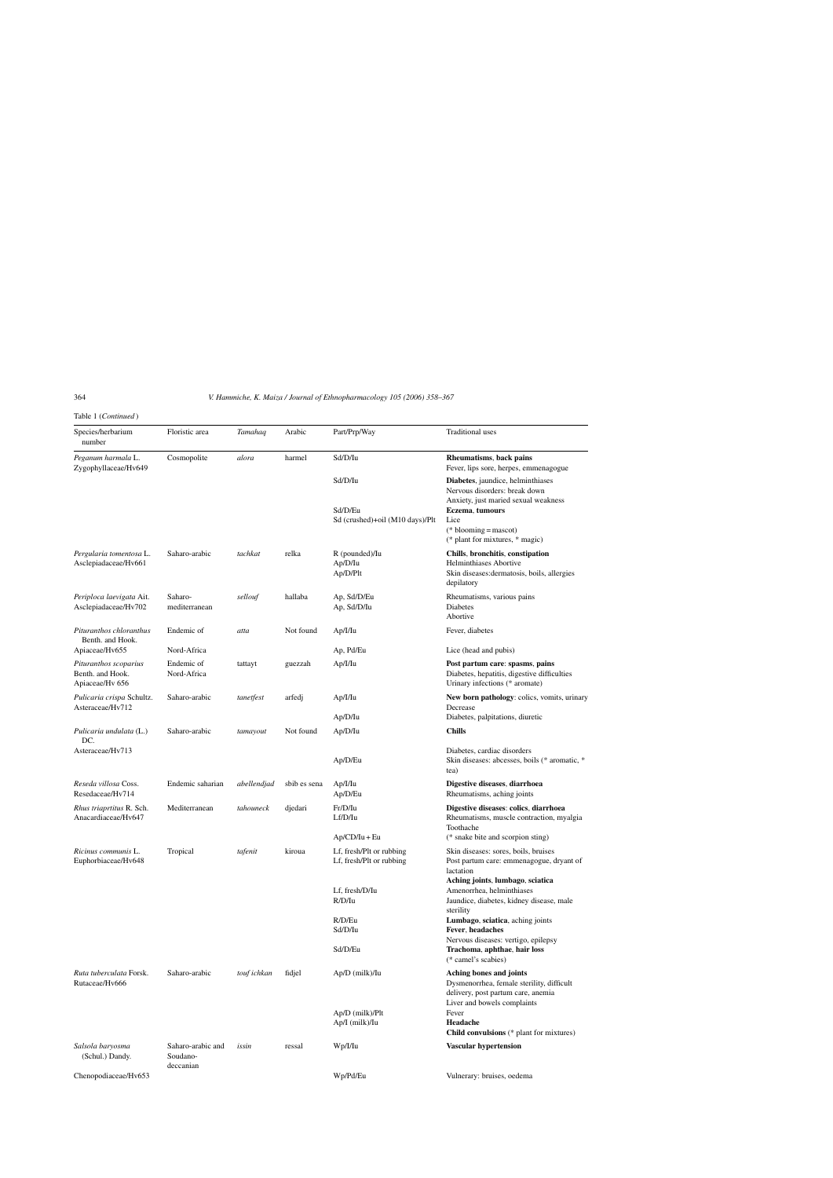| Species/herbarium<br>number                                  | Floristic area                | Tamahaq     | Arabic       | Part/Prp/Way                                         | <b>Traditional</b> uses                                                                                                                   |
|--------------------------------------------------------------|-------------------------------|-------------|--------------|------------------------------------------------------|-------------------------------------------------------------------------------------------------------------------------------------------|
| Peganum harmala L.<br>Zygophyllaceae/Hv649                   | Cosmopolite                   | alora       | harmel       | Sd/D/Iu                                              | Rheumatisms, back pains<br>Fever, lips sore, herpes, emmenagogue                                                                          |
|                                                              |                               |             |              | Sd/D/Iu                                              | Diabetes, jaundice, helminthiases<br>Nervous disorders: break down<br>Anxiety, just maried sexual weakness                                |
|                                                              |                               |             |              | Sd/D/Eu<br>Sd (crushed)+oil (M10 days)/Plt           | Eczema, tumours<br>Lice<br>(* blooming = mascot)<br>(* plant for mixtures, * magic)                                                       |
| Pergularia tomentosa L.<br>Asclepiadaceae/Hv661              | Saharo-arabic                 | tachkat     | relka        | R (pounded)/Iu<br>Ap/D/Iu<br>Ap/D/Plt                | Chills, bronchitis, constipation<br><b>Helminthiases Abortive</b><br>Skin diseases: dermatosis, boils, allergies<br>depilatory            |
| Periploca laevigata Ait.<br>Asclepiadaceae/Hv702             | Saharo-<br>mediterranean      | sellouf     | hallaba      | Ap, Sd/D/Eu<br>Ap, Sd/D/Iu                           | Rheumatisms, various pains<br>Diabetes<br>Abortive                                                                                        |
| Pituranthos chloranthus<br>Benth. and Hook.                  | Endemic of                    | atta        | Not found    | Ap/I/Iu                                              | Fever, diabetes                                                                                                                           |
| Apiaceae/Hv655                                               | Nord-Africa                   |             |              | Ap, Pd/Eu                                            | Lice (head and pubis)                                                                                                                     |
| Pituranthos scoparius<br>Benth. and Hook.<br>Apiaceae/Hv 656 | Endemic of<br>Nord-Africa     | tattayt     | guezzah      | Ap/I/Iu                                              | Post partum care: spasms, pains<br>Diabetes, hepatitis, digestive difficulties<br>Urinary infections (* aromate)                          |
| Pulicaria crispa Schultz.<br>Asteraceae/Hv712                | Saharo-arabic                 | tanetfest   | arfedj       | Ap/I/Iu                                              | New born pathology: colics, vomits, urinary<br>Decrease                                                                                   |
|                                                              |                               |             |              | Ap/D/Iu                                              | Diabetes, palpitations, diuretic                                                                                                          |
| Pulicaria undulata (L.)<br>DC.                               | Saharo-arabic                 | tamayout    | Not found    | Ap/D/Iu                                              | <b>Chills</b>                                                                                                                             |
| Asteraceae/Hv713                                             |                               |             |              | Ap/D/Eu                                              | Diabetes, cardiac disorders<br>Skin diseases: abcesses, boils (* aromatic, *<br>tea)                                                      |
| Reseda villosa Coss.<br>Resedaceae/Hv714                     | Endemic saharian              | abellendjad | sbib es sena | Ap/I/Iu<br>Ap/D/Eu                                   | Digestive diseases, diarrhoea<br>Rheumatisms, aching joints                                                                               |
| <i>Rhus triaprtitus R. Sch.</i><br>Anacardiaceae/Hv647       | Mediterranean                 | tahouneck   | djedari      | Fr/D/Iu<br>Lf/D/Iu                                   | Digestive diseases: colics, diarrhoea<br>Rheumatisms, muscle contraction, myalgia<br>Toothache                                            |
|                                                              |                               |             |              | $Ap/CD/Iu + Eu$                                      | (* snake bite and scorpion sting)                                                                                                         |
| Ricinus communis L.<br>Euphorbiaceae/Hv648                   | Tropical                      | tafenit     | kiroua       | Lf, fresh/Plt or rubbing<br>Lf, fresh/Plt or rubbing | Skin diseases: sores, boils, bruises<br>Post partum care: emmenagogue, dryant of<br>lactation                                             |
|                                                              |                               |             |              | Lf, fresh/D/Iu                                       | Aching joints, lumbago, sciatica<br>Amenorrhea, helminthiases                                                                             |
|                                                              |                               |             |              | R/D/Iu                                               | Jaundice, diabetes, kidney disease, male<br>sterility                                                                                     |
|                                                              |                               |             |              | R/D/Eu<br>Sd/D/Iu                                    | Lumbago, sciatica, aching joints<br><b>Fever, headaches</b>                                                                               |
|                                                              |                               |             |              | Sd/D/Eu                                              | Nervous diseases: vertigo, epilepsy<br>Trachoma, aphthae, hair loss<br>(* camel's scabies)                                                |
| Ruta tuberculata Forsk.<br>Rutaceae/Hv666                    | Saharo-arabic                 | touf ichkan | fidjel       | Ap/D (milk)/Iu                                       | Aching bones and joints<br>Dysmenorrhea, female sterility, difficult<br>delivery, post partum care, anemia<br>Liver and bowels complaints |
|                                                              |                               |             |              | Ap/D (milk)/Plt<br>Ap/I (milk)/Iu                    | Fever<br>Headache<br><b>Child convulsions</b> (* plant for mixtures)                                                                      |
| Salsola baryosma<br>(Schul.) Dandy.                          | Saharo-arabic and<br>Soudano- | issin       | ressal       | Wp/I/Iu                                              | <b>Vascular hypertension</b>                                                                                                              |
| Chenopodiaceae/Hv653                                         | deccanian                     |             |              | Wp/Pd/Eu                                             | Vulnerary: bruises, oedema                                                                                                                |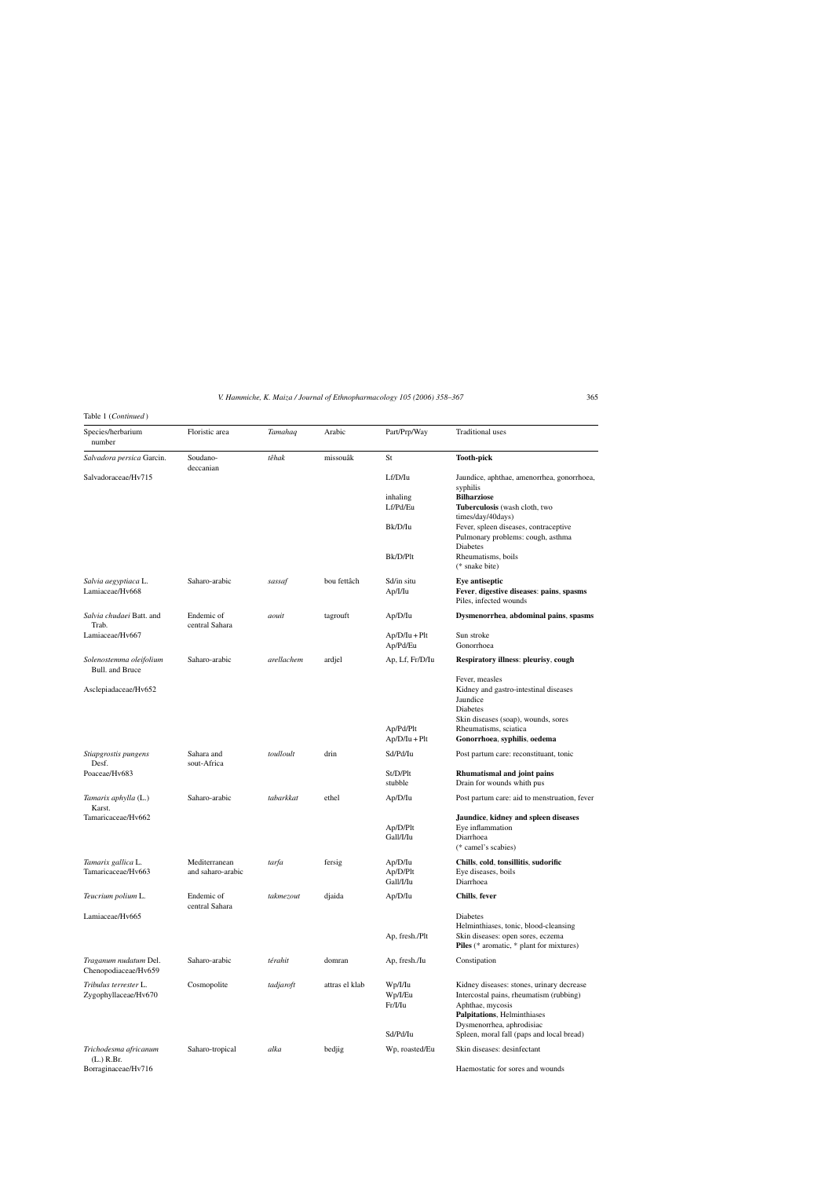| Species/herbarium<br>number                   | Floristic area                     | Tamahaq    | Arabic         | Part/Prp/Way                              | Traditional uses                                                                                                                                                                                                  |
|-----------------------------------------------|------------------------------------|------------|----------------|-------------------------------------------|-------------------------------------------------------------------------------------------------------------------------------------------------------------------------------------------------------------------|
| Salvadora persica Garcin.                     | Soudano-                           | têhak      | missouâk       | St                                        | <b>Tooth-pick</b>                                                                                                                                                                                                 |
| Salvadoraceae/Hv715                           | deccanian                          |            |                | Lf/D/Iu                                   | Jaundice, aphthae, amenorrhea, gonorrhoea,<br>syphilis                                                                                                                                                            |
|                                               |                                    |            |                | inhaling<br>Lf/Pd/Eu                      | <b>Bilharziose</b><br>Tuberculosis (wash cloth, two<br>times/day/40days)                                                                                                                                          |
|                                               |                                    |            |                | Bk/D/Iu                                   | Fever, spleen diseases, contraceptive<br>Pulmonary problems: cough, asthma<br><b>Diabetes</b>                                                                                                                     |
|                                               |                                    |            |                | Bk/D/Plt                                  | Rheumatisms, boils<br>(* snake bite)                                                                                                                                                                              |
| Salvia aegyptiaca L.<br>Lamiaceae/Hv668       | Saharo-arabic                      | sassaf     | bou fettâch    | Sd/in situ<br>Ap/I/Iu                     | Eye antiseptic<br>Fever, digestive diseases: pains, spasms<br>Piles, infected wounds                                                                                                                              |
| Salvia chudaei Batt. and<br>Trab.             | Endemic of<br>central Sahara       | aouit      | tagrouft       | Ap/D/Iu                                   | Dysmenorrhea, abdominal pains, spasms                                                                                                                                                                             |
| Lamiaceae/Hv667                               |                                    |            |                | $Ap/D/Iu + Plt$<br>Ap/Pd/Eu               | Sun stroke<br>Gonorrhoea                                                                                                                                                                                          |
| Solenostemma oleifolium<br>Bull. and Bruce    | Saharo-arabic                      | arellachem | ardjel         | Ap, Lf, Fr/D/Iu                           | Respiratory illness: pleurisy, cough                                                                                                                                                                              |
| Asclepiadaceae/Hv652                          |                                    |            |                |                                           | Fever, measles<br>Kidney and gastro-intestinal diseases<br>Jaundice<br>Diabetes<br>Skin diseases (soap), wounds, sores                                                                                            |
|                                               |                                    |            |                | Ap/Pd/Plt<br>$Ap/D/Iu + Plt$              | Rheumatisms, sciatica<br>Gonorrhoea, syphilis, oedema                                                                                                                                                             |
| Stiapgrostis pungens<br>Desf.                 | Sahara and<br>sout-Africa          | toulloult  | drin           | Sd/Pd/Iu                                  | Post partum care: reconstituant, tonic                                                                                                                                                                            |
| Poaceae/Hv683                                 |                                    |            |                | St/D/Plt<br>stubble                       | <b>Rhumatismal and joint pains</b><br>Drain for wounds whith pus                                                                                                                                                  |
| Tamarix aphylla (L.)<br>Karst.                | Saharo-arabic                      | tabarkkat  | ethel          | Ap/D/Iu                                   | Post partum care: aid to menstruation, fever                                                                                                                                                                      |
| Tamaricaceae/Hv662                            |                                    |            |                | Ap/D/Plt<br>Gall/I/Iu                     | Jaundice, kidney and spleen diseases<br>Eye inflammation<br>Diarrhoea<br>(* camel's scabies)                                                                                                                      |
| Tamarix gallica L.<br>Tamaricaceae/Hv663      | Mediterranean<br>and saharo-arabic | tarfa      | fersig         | Ap/D/Iu<br>Ap/D/Plt<br>Gall/I/Iu          | Chills, cold, tonsillitis, sudorific<br>Eye diseases, boils<br>Diarrhoea                                                                                                                                          |
| Teucrium polium L.                            | Endemic of                         | takmezout  | djaida         | Ap/D/Iu                                   | Chills, fever                                                                                                                                                                                                     |
| Lamiaceae/Hv665                               | central Sahara                     |            |                | Ap, fresh./Plt                            | Diabetes<br>Helminthiases, tonic, blood-cleansing<br>Skin diseases: open sores, eczema<br><b>Piles</b> (* aromatic, * plant for mixtures)                                                                         |
| Traganum nudatum Del.<br>Chenopodiaceae/Hv659 | Saharo-arabic                      | térahit    | domran         | Ap, fresh./Iu                             | Constipation                                                                                                                                                                                                      |
| Tribulus terrester L.<br>Zygophyllaceae/Hv670 | Cosmopolite                        | tadjaroft  | attras el klab | Wp/I/Iu<br>Wp/I/Eu<br>Fr/I/Iu<br>Sd/Pd/Iu | Kidney diseases: stones, urinary decrease<br>Intercostal pains, rheumatism (rubbing)<br>Aphthae, mycosis<br>Palpitations, Helminthiases<br>Dysmenorrhea, aphrodisiac<br>Spleen, moral fall (paps and local bread) |
| Trichodesma africanum<br>$(L.)$ R.Br.         | Saharo-tropical                    | alka       | bedjig         | Wp, roasted/Eu                            | Skin diseases: desinfectant                                                                                                                                                                                       |
| Borraginaceae/Hv716                           |                                    |            |                |                                           | Haemostatic for sores and wounds                                                                                                                                                                                  |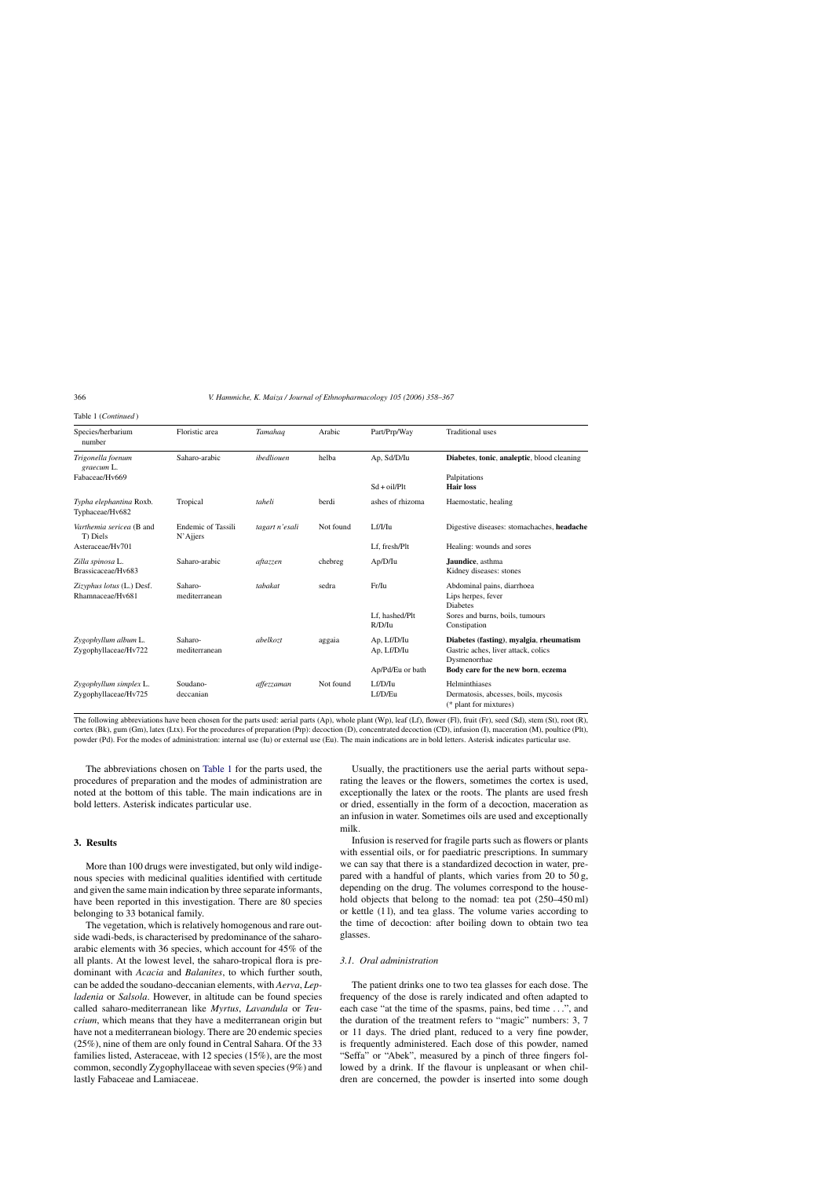| Species/herbarium<br>number                    | Floristic area                          | Tamahaq        | Arabic    | Part/Prp/Way               | <b>Traditional</b> uses                                                                        |
|------------------------------------------------|-----------------------------------------|----------------|-----------|----------------------------|------------------------------------------------------------------------------------------------|
| Trigonella foenum<br>graecum L.                | Saharo-arabic                           | ibedliouen     | helba     | Ap, Sd/D/Iu                | Diabetes, tonic, analeptic, blood cleaning                                                     |
| Fabaceae/Hy669                                 |                                         |                |           |                            | Palpitations                                                                                   |
|                                                |                                         |                |           | $Sd + oil/Plt$             | <b>Hair</b> loss                                                                               |
| Typha elephantina Roxb.<br>Typhaceae/Hv682     | Tropical                                | taheli         | berdi     | ashes of rhizoma           | Haemostatic, healing                                                                           |
| Varthemia sericea (B and<br>T) Diels           | <b>Endemic of Tassili</b><br>$N'A$ jers | tagart n'esali | Not found | Lf/I/Iu                    | Digestive diseases: stomachaches, headache                                                     |
| Asteraceae/Hv701                               |                                         |                |           | Lf. fresh/Plt              | Healing: wounds and sores                                                                      |
| Zilla spinosa L.<br>Brassicaceae/Hv683         | Saharo-arabic                           | aftazzen       | chebreg   | Ap/D/Iu                    | Jaundice, asthma<br>Kidney diseases: stones                                                    |
| Zizyphus lotus (L.) Desf.<br>Rhamnaceae/Hy681  | Saharo-<br>mediterranean                | tabakat        | sedra     | Fr/Iu                      | Abdominal pains, diarrhoea<br>Lips herpes, fever<br><b>Diabetes</b>                            |
|                                                |                                         |                |           | Lf, hashed/Plt<br>R/D/Iu   | Sores and burns, boils, tumours<br>Constipation                                                |
| Zygophyllum album L.<br>Zygophyllaceae/Hv722   | Saharo-<br>mediterranean                | abelkozt       | aggaia    | Ap, Lf/D/Iu<br>Ap, Lf/D/Iu | Diabetes (fasting), myalgia, rheumatism<br>Gastric aches, liver attack, colics<br>Dysmenorrhae |
|                                                |                                         |                |           | Ap/Pd/Eu or bath           | Body care for the new born, eczema                                                             |
| Zygophyllum simplex L.<br>Zygophyllaceae/Hv725 | Soudano-<br>deccanian                   | affezzaman     | Not found | Lf/D/Iu<br>Lf/D/Eu         | Helminthiases<br>Dermatosis, abcesses, boils, mycosis<br>(* plant for mixtures)                |

The following abbreviations have been chosen for the parts used: aerial parts (Ap), whole plant (Wp), leaf (Lf), flower (Fl), fruit (Fr), seed (Sd), stem (St), root (R), cortex (Bk), gum (Gm), latex (Ltx). For the procedures of preparation (Prp): decoction (D), concentrated decoction (CD), infusion (I), maceration (M), poultice (Plt), powder (Pd). For the modes of administration: internal use (Iu) or external use (Eu). The main indications are in bold letters. Asterisk indicates particular use.

The abbreviations chosen on [Table 1](#page-2-0) for the parts used, the procedures of preparation and the modes of administration are noted at the bottom of this table. The main indications are in bold letters. Asterisk indicates particular use.

#### **3. Results**

More than 100 drugs were investigated, but only wild indigenous species with medicinal qualities identified with certitude and given the same main indication by three separate informants, have been reported in this investigation. There are 80 species belonging to 33 botanical family.

The vegetation, which is relatively homogenous and rare outside wadi-beds, is characterised by predominance of the saharoarabic elements with 36 species, which account for 45% of the all plants. At the lowest level, the saharo-tropical flora is predominant with *Acacia* and *Balanites*, to which further south, can be added the soudano-deccanian elements, with *Aerva*, *Lepladenia* or *Salsola*. However, in altitude can be found species called saharo-mediterranean like *Myrtus*, *Lavandula* or *Teucrium*, which means that they have a mediterranean origin but have not a mediterranean biology. There are 20 endemic species (25%), nine of them are only found in Central Sahara. Of the 33 families listed, Asteraceae, with 12 species (15%), are the most common, secondly Zygophyllaceae with seven species (9%) and lastly Fabaceae and Lamiaceae.

Usually, the practitioners use the aerial parts without separating the leaves or the flowers, sometimes the cortex is used, exceptionally the latex or the roots. The plants are used fresh or dried, essentially in the form of a decoction, maceration as an infusion in water. Sometimes oils are used and exceptionally milk.

Infusion is reserved for fragile parts such as flowers or plants with essential oils, or for paediatric prescriptions. In summary we can say that there is a standardized decoction in water, prepared with a handful of plants, which varies from 20 to 50 g, depending on the drug. The volumes correspond to the household objects that belong to the nomad: tea pot (250–450 ml) or kettle (1 l), and tea glass. The volume varies according to the time of decoction: after boiling down to obtain two tea glasses.

# *3.1. Oral administration*

The patient drinks one to two tea glasses for each dose. The frequency of the dose is rarely indicated and often adapted to each case "at the time of the spasms, pains, bed time ...", and the duration of the treatment refers to "magic" numbers: 3, 7 or 11 days. The dried plant, reduced to a very fine powder, is frequently administered. Each dose of this powder, named "Seffa" or "Abek", measured by a pinch of three fingers followed by a drink. If the flavour is unpleasant or when children are concerned, the powder is inserted into some dough